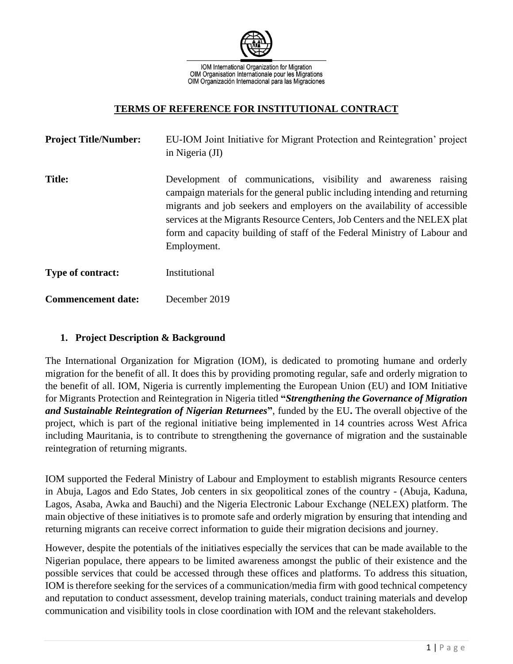

IOM International Organization for Migration OIM Organisation Internationale pour les Migrations OIM Organización Internacional para las Migraciones

#### **TERMS OF REFERENCE FOR INSTITUTIONAL CONTRACT**

| <b>Project Title/Number:</b> | EU-IOM Joint Initiative for Migrant Protection and Reintegration' project<br>in Nigeria (JI)                                                                                                                                                                                                                                                                                                        |
|------------------------------|-----------------------------------------------------------------------------------------------------------------------------------------------------------------------------------------------------------------------------------------------------------------------------------------------------------------------------------------------------------------------------------------------------|
| <b>Title:</b>                | Development of communications, visibility and awareness raising<br>campaign materials for the general public including intending and returning<br>migrants and job seekers and employers on the availability of accessible<br>services at the Migrants Resource Centers, Job Centers and the NELEX plat<br>form and capacity building of staff of the Federal Ministry of Labour and<br>Employment. |
| Type of contract:            | Institutional                                                                                                                                                                                                                                                                                                                                                                                       |
| <b>Commencement date:</b>    | December 2019                                                                                                                                                                                                                                                                                                                                                                                       |

#### **1. Project Description & Background**

The International Organization for Migration (IOM), is dedicated to promoting humane and orderly migration for the benefit of all. It does this by providing promoting regular, safe and orderly migration to the benefit of all. IOM, Nigeria is currently implementing the European Union (EU) and IOM Initiative for Migrants Protection and Reintegration in Nigeria titled **"***Strengthening the Governance of Migration and Sustainable Reintegration of Nigerian Returnees***"**, funded by the EU**.** The overall objective of the project, which is part of the regional initiative being implemented in 14 countries across West Africa including Mauritania, is to contribute to strengthening the governance of migration and the sustainable reintegration of returning migrants.

IOM supported the Federal Ministry of Labour and Employment to establish migrants Resource centers in Abuja, Lagos and Edo States, Job centers in six geopolitical zones of the country - (Abuja, Kaduna, Lagos, Asaba, Awka and Bauchi) and the Nigeria Electronic Labour Exchange (NELEX) platform. The main objective of these initiatives is to promote safe and orderly migration by ensuring that intending and returning migrants can receive correct information to guide their migration decisions and journey.

However, despite the potentials of the initiatives especially the services that can be made available to the Nigerian populace, there appears to be limited awareness amongst the public of their existence and the possible services that could be accessed through these offices and platforms. To address this situation, IOM is therefore seeking for the services of a communication/media firm with good technical competency and reputation to conduct assessment, develop training materials, conduct training materials and develop communication and visibility tools in close coordination with IOM and the relevant stakeholders.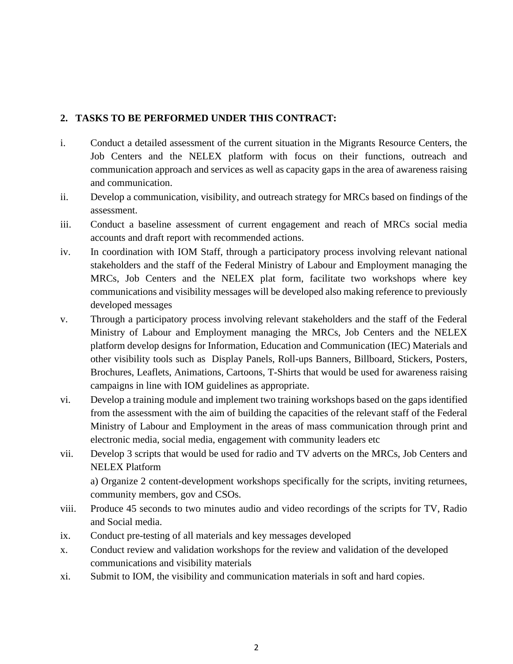### **2. TASKS TO BE PERFORMED UNDER THIS CONTRACT:**

- i. Conduct a detailed assessment of the current situation in the Migrants Resource Centers, the Job Centers and the NELEX platform with focus on their functions, outreach and communication approach and services as well as capacity gaps in the area of awareness raising and communication.
- ii. Develop a communication, visibility, and outreach strategy for MRCs based on findings of the assessment.
- iii. Conduct a baseline assessment of current engagement and reach of MRCs social media accounts and draft report with recommended actions.
- iv. In coordination with IOM Staff, through a participatory process involving relevant national stakeholders and the staff of the Federal Ministry of Labour and Employment managing the MRCs, Job Centers and the NELEX plat form, facilitate two workshops where key communications and visibility messages will be developed also making reference to previously developed messages
- v. Through a participatory process involving relevant stakeholders and the staff of the Federal Ministry of Labour and Employment managing the MRCs, Job Centers and the NELEX platform develop designs for Information, Education and Communication (IEC) Materials and other visibility tools such as Display Panels, Roll-ups Banners, Billboard, Stickers, Posters, Brochures, Leaflets, Animations, Cartoons, T-Shirts that would be used for awareness raising campaigns in line with IOM guidelines as appropriate.
- vi. Develop a training module and implement two training workshops based on the gaps identified from the assessment with the aim of building the capacities of the relevant staff of the Federal Ministry of Labour and Employment in the areas of mass communication through print and electronic media, social media, engagement with community leaders etc
- vii. Develop 3 scripts that would be used for radio and TV adverts on the MRCs, Job Centers and NELEX Platform a) Organize 2 content-development workshops specifically for the scripts, inviting returnees, community members, gov and CSOs.
- viii. Produce 45 seconds to two minutes audio and video recordings of the scripts for TV, Radio and Social media.
- ix. Conduct pre-testing of all materials and key messages developed
- x. Conduct review and validation workshops for the review and validation of the developed communications and visibility materials
- xi. Submit to IOM, the visibility and communication materials in soft and hard copies.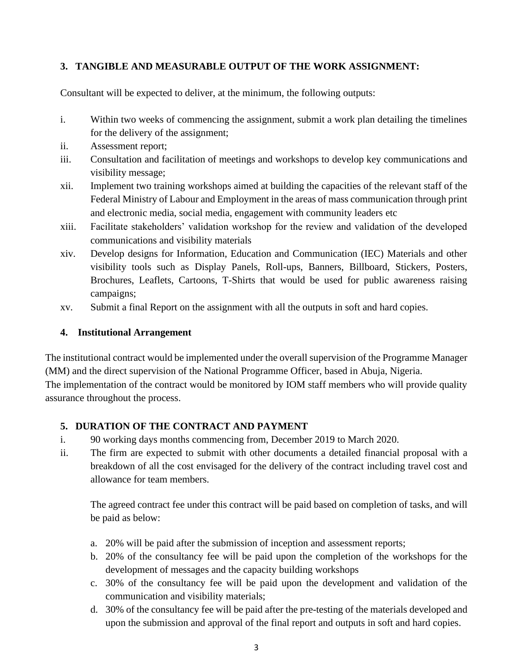## **3. TANGIBLE AND MEASURABLE OUTPUT OF THE WORK ASSIGNMENT:**

Consultant will be expected to deliver, at the minimum, the following outputs:

- i. Within two weeks of commencing the assignment, submit a work plan detailing the timelines for the delivery of the assignment;
- ii. Assessment report;
- iii. Consultation and facilitation of meetings and workshops to develop key communications and visibility message;
- xii. Implement two training workshops aimed at building the capacities of the relevant staff of the Federal Ministry of Labour and Employment in the areas of mass communication through print and electronic media, social media, engagement with community leaders etc
- xiii. Facilitate stakeholders' validation workshop for the review and validation of the developed communications and visibility materials
- xiv. Develop designs for Information, Education and Communication (IEC) Materials and other visibility tools such as Display Panels, Roll-ups, Banners, Billboard, Stickers, Posters, Brochures, Leaflets, Cartoons, T-Shirts that would be used for public awareness raising campaigns;
- xv. Submit a final Report on the assignment with all the outputs in soft and hard copies.

## **4. Institutional Arrangement**

The institutional contract would be implemented under the overall supervision of the Programme Manager (MM) and the direct supervision of the National Programme Officer, based in Abuja, Nigeria.

The implementation of the contract would be monitored by IOM staff members who will provide quality assurance throughout the process.

# **5. DURATION OF THE CONTRACT AND PAYMENT**

- i. 90 working days months commencing from, December 2019 to March 2020.
- ii. The firm are expected to submit with other documents a detailed financial proposal with a breakdown of all the cost envisaged for the delivery of the contract including travel cost and allowance for team members.

The agreed contract fee under this contract will be paid based on completion of tasks, and will be paid as below:

- a. 20% will be paid after the submission of inception and assessment reports;
- b. 20% of the consultancy fee will be paid upon the completion of the workshops for the development of messages and the capacity building workshops
- c. 30% of the consultancy fee will be paid upon the development and validation of the communication and visibility materials;
- d. 30% of the consultancy fee will be paid after the pre-testing of the materials developed and upon the submission and approval of the final report and outputs in soft and hard copies.